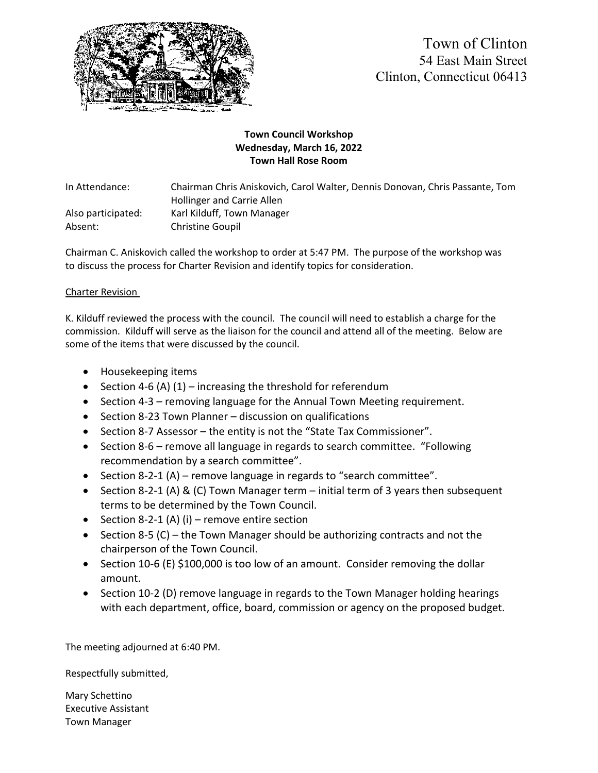

Town of Clinton 54 East Main Street Clinton, Connecticut 06413

## **Town Council Workshop Wednesday, March 16, 2022 Town Hall Rose Room**

In Attendance: Chairman Chris Aniskovich, Carol Walter, Dennis Donovan, Chris Passante, Tom Hollinger and Carrie Allen Also participated: Karl Kilduff, Town Manager Absent: Christine Goupil

Chairman C. Aniskovich called the workshop to order at 5:47 PM. The purpose of the workshop was to discuss the process for Charter Revision and identify topics for consideration.

## Charter Revision

K. Kilduff reviewed the process with the council. The council will need to establish a charge for the commission. Kilduff will serve as the liaison for the council and attend all of the meeting. Below are some of the items that were discussed by the council.

- Housekeeping items
- Section 4-6 (A)  $(1)$  increasing the threshold for referendum
- Section 4-3 removing language for the Annual Town Meeting requirement.
- Section 8-23 Town Planner discussion on qualifications
- Section 8-7 Assessor the entity is not the "State Tax Commissioner".
- Section 8-6 remove all language in regards to search committee. "Following recommendation by a search committee".
- Section 8-2-1 (A) remove language in regards to "search committee".
- Section 8-2-1 (A) & (C) Town Manager term initial term of 3 years then subsequent terms to be determined by the Town Council.
- Section 8-2-1 (A) (i) remove entire section
- Section 8-5 (C) the Town Manager should be authorizing contracts and not the chairperson of the Town Council.
- Section 10-6 (E) \$100,000 is too low of an amount. Consider removing the dollar amount.
- Section 10-2 (D) remove language in regards to the Town Manager holding hearings with each department, office, board, commission or agency on the proposed budget.

The meeting adjourned at 6:40 PM.

Respectfully submitted,

Mary Schettino Executive Assistant Town Manager